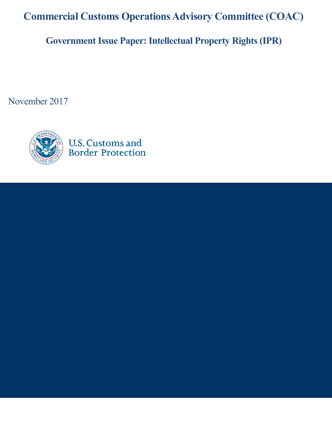**Commercial Customs Operations Advisory Committee (COAC)**

**Government Issue Paper: Intellectual Property Rights (IPR)**

November 2017